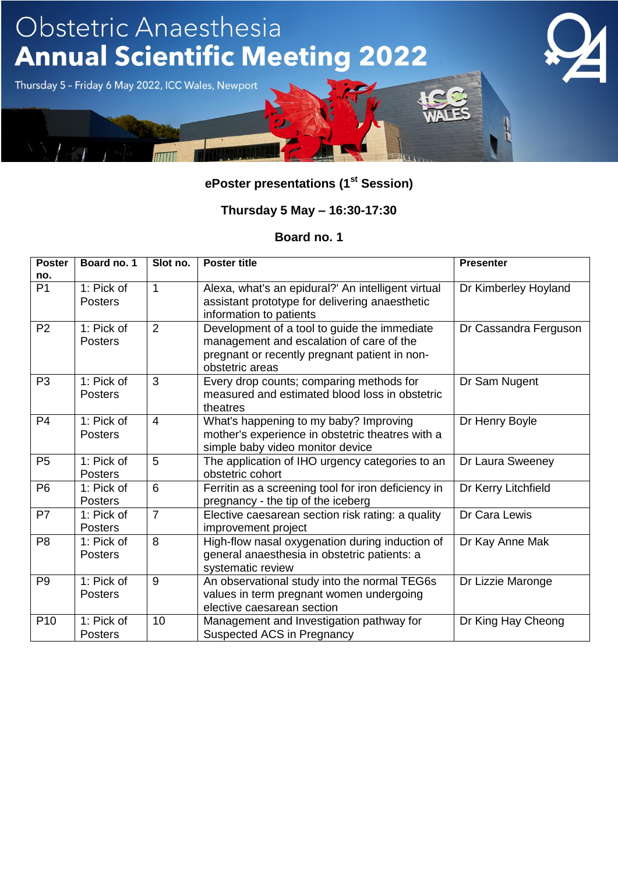

### **Thursday 5 May – 16:30-17:30**

| <b>Poster</b>   | Board no. 1                  | Slot no.       | <b>Poster title</b>                                                                                                                                          | <b>Presenter</b>      |
|-----------------|------------------------------|----------------|--------------------------------------------------------------------------------------------------------------------------------------------------------------|-----------------------|
| no.             |                              |                |                                                                                                                                                              |                       |
| P <sub>1</sub>  | 1: Pick of<br><b>Posters</b> | $\mathbf 1$    | Alexa, what's an epidural?' An intelligent virtual<br>assistant prototype for delivering anaesthetic<br>information to patients                              | Dr Kimberley Hoyland  |
| P <sub>2</sub>  | 1: Pick of<br><b>Posters</b> | 2              | Development of a tool to guide the immediate<br>management and escalation of care of the<br>pregnant or recently pregnant patient in non-<br>obstetric areas | Dr Cassandra Ferguson |
| P <sub>3</sub>  | 1: Pick of<br><b>Posters</b> | 3              | Every drop counts; comparing methods for<br>measured and estimated blood loss in obstetric<br>theatres                                                       | Dr Sam Nugent         |
| P <sub>4</sub>  | 1: Pick of<br><b>Posters</b> | $\overline{4}$ | What's happening to my baby? Improving<br>mother's experience in obstetric theatres with a<br>simple baby video monitor device                               | Dr Henry Boyle        |
| P <sub>5</sub>  | 1: Pick of<br><b>Posters</b> | 5              | The application of IHO urgency categories to an<br>obstetric cohort                                                                                          | Dr Laura Sweeney      |
| P <sub>6</sub>  | 1: Pick of<br><b>Posters</b> | 6              | Ferritin as a screening tool for iron deficiency in<br>pregnancy - the tip of the iceberg                                                                    | Dr Kerry Litchfield   |
| P7              | 1: Pick of<br><b>Posters</b> | $\overline{7}$ | Elective caesarean section risk rating: a quality<br>improvement project                                                                                     | Dr Cara Lewis         |
| P <sub>8</sub>  | 1: Pick of<br><b>Posters</b> | 8              | High-flow nasal oxygenation during induction of<br>general anaesthesia in obstetric patients: a<br>systematic review                                         | Dr Kay Anne Mak       |
| P <sub>9</sub>  | 1: Pick of<br><b>Posters</b> | 9              | An observational study into the normal TEG6s<br>values in term pregnant women undergoing<br>elective caesarean section                                       | Dr Lizzie Maronge     |
| P <sub>10</sub> | 1: Pick of<br><b>Posters</b> | 10             | Management and Investigation pathway for<br>Suspected ACS in Pregnancy                                                                                       | Dr King Hay Cheong    |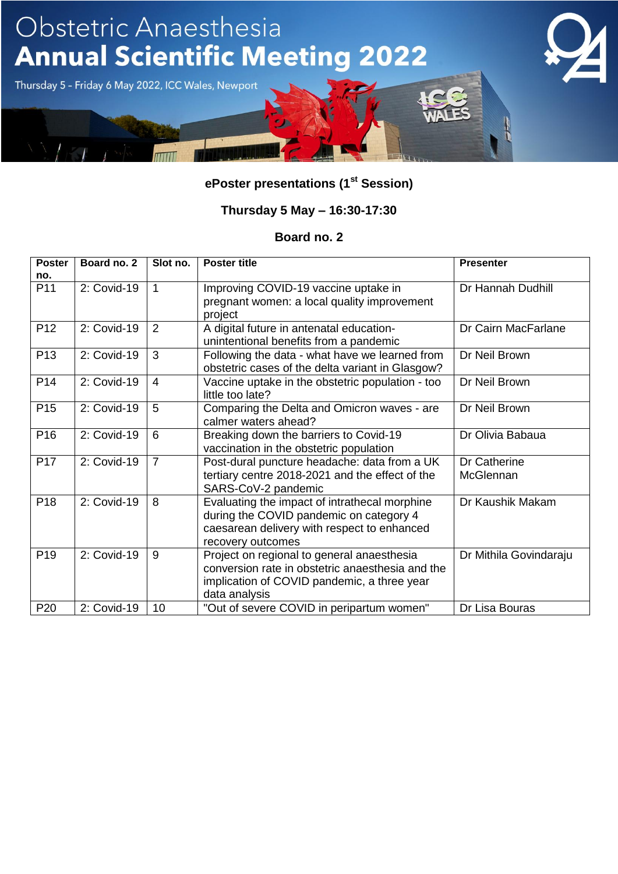

### **Thursday 5 May – 16:30-17:30**

| <b>Poster</b>   | Board no. 2 | Slot no.       | <b>Poster title</b>                              | <b>Presenter</b>       |
|-----------------|-------------|----------------|--------------------------------------------------|------------------------|
| no.             |             |                |                                                  |                        |
| P11             | 2: Covid-19 | $\overline{1}$ | Improving COVID-19 vaccine uptake in             | Dr Hannah Dudhill      |
|                 |             |                | pregnant women: a local quality improvement      |                        |
|                 |             |                | project                                          |                        |
| P <sub>12</sub> | 2: Covid-19 | 2              | A digital future in antenatal education-         | Dr Cairn MacFarlane    |
|                 |             |                | unintentional benefits from a pandemic           |                        |
| P <sub>13</sub> | 2: Covid-19 | 3              | Following the data - what have we learned from   | Dr Neil Brown          |
|                 |             |                | obstetric cases of the delta variant in Glasgow? |                        |
| P <sub>14</sub> | 2: Covid-19 | $\overline{4}$ | Vaccine uptake in the obstetric population - too | Dr Neil Brown          |
|                 |             |                | little too late?                                 |                        |
| P <sub>15</sub> | 2: Covid-19 | 5              | Comparing the Delta and Omicron waves - are      | Dr Neil Brown          |
|                 |             |                | calmer waters ahead?                             |                        |
| P <sub>16</sub> | 2: Covid-19 | 6              | Breaking down the barriers to Covid-19           | Dr Olivia Babaua       |
|                 |             |                | vaccination in the obstetric population          |                        |
| P <sub>17</sub> | 2: Covid-19 | $\overline{7}$ | Post-dural puncture headache: data from a UK     | Dr Catherine           |
|                 |             |                | tertiary centre 2018-2021 and the effect of the  | McGlennan              |
|                 |             |                | SARS-CoV-2 pandemic                              |                        |
| P <sub>18</sub> | 2: Covid-19 | 8              | Evaluating the impact of intrathecal morphine    | Dr Kaushik Makam       |
|                 |             |                | during the COVID pandemic on category 4          |                        |
|                 |             |                | caesarean delivery with respect to enhanced      |                        |
|                 |             |                | recovery outcomes                                |                        |
| P <sub>19</sub> | 2: Covid-19 | 9              | Project on regional to general anaesthesia       | Dr Mithila Govindaraju |
|                 |             |                | conversion rate in obstetric anaesthesia and the |                        |
|                 |             |                | implication of COVID pandemic, a three year      |                        |
|                 |             |                | data analysis                                    |                        |
| P <sub>20</sub> | 2: Covid-19 | 10             | "Out of severe COVID in peripartum women"        | Dr Lisa Bouras         |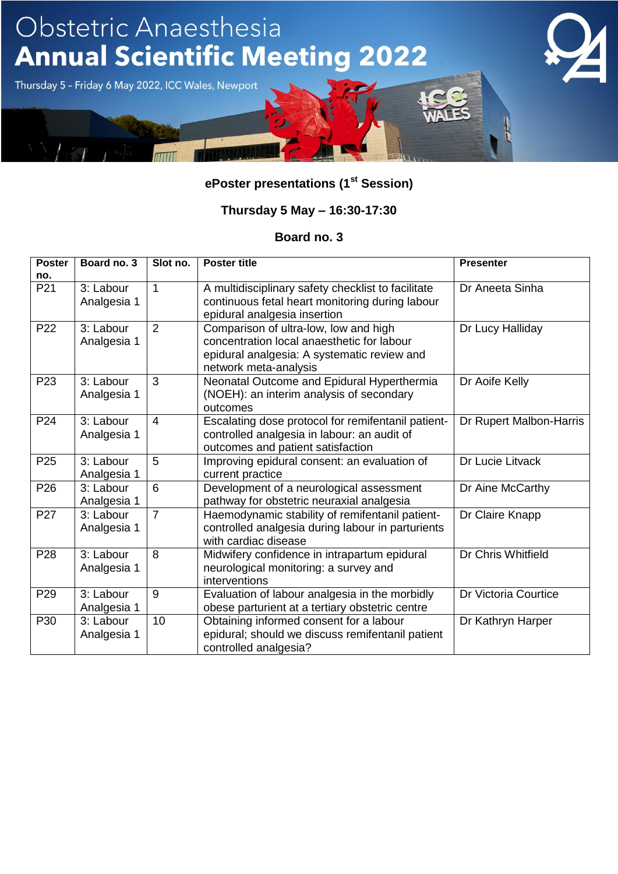

### **Thursday 5 May – 16:30-17:30**

| <b>Poster</b>   | Board no. 3              | Slot no.       | <b>Poster title</b>                                                                                                                                         | <b>Presenter</b>        |
|-----------------|--------------------------|----------------|-------------------------------------------------------------------------------------------------------------------------------------------------------------|-------------------------|
| no.             |                          |                |                                                                                                                                                             |                         |
| P21             | 3: Labour<br>Analgesia 1 | $\mathbf{1}$   | A multidisciplinary safety checklist to facilitate<br>continuous fetal heart monitoring during labour<br>epidural analgesia insertion                       | Dr Aneeta Sinha         |
| P22             | 3: Labour<br>Analgesia 1 | 2              | Comparison of ultra-low, low and high<br>concentration local anaesthetic for labour<br>epidural analgesia: A systematic review and<br>network meta-analysis | Dr Lucy Halliday        |
| P <sub>23</sub> | 3: Labour<br>Analgesia 1 | 3              | Neonatal Outcome and Epidural Hyperthermia<br>(NOEH): an interim analysis of secondary<br>outcomes                                                          | Dr Aoife Kelly          |
| P <sub>24</sub> | 3: Labour<br>Analgesia 1 | $\overline{4}$ | Escalating dose protocol for remifentanil patient-<br>controlled analgesia in labour: an audit of<br>outcomes and patient satisfaction                      | Dr Rupert Malbon-Harris |
| P <sub>25</sub> | 3: Labour<br>Analgesia 1 | 5              | Improving epidural consent: an evaluation of<br>current practice                                                                                            | Dr Lucie Litvack        |
| P <sub>26</sub> | 3: Labour<br>Analgesia 1 | 6              | Development of a neurological assessment<br>pathway for obstetric neuraxial analgesia                                                                       | Dr Aine McCarthy        |
| P27             | 3: Labour<br>Analgesia 1 | $\overline{7}$ | Haemodynamic stability of remifentanil patient-<br>controlled analgesia during labour in parturients<br>with cardiac disease                                | Dr Claire Knapp         |
| P <sub>28</sub> | 3: Labour<br>Analgesia 1 | 8              | Midwifery confidence in intrapartum epidural<br>neurological monitoring: a survey and<br>interventions                                                      | Dr Chris Whitfield      |
| P <sub>29</sub> | 3: Labour<br>Analgesia 1 | 9              | Evaluation of labour analgesia in the morbidly<br>obese parturient at a tertiary obstetric centre                                                           | Dr Victoria Courtice    |
| P30             | 3: Labour<br>Analgesia 1 | 10             | Obtaining informed consent for a labour<br>epidural; should we discuss remifentanil patient<br>controlled analgesia?                                        | Dr Kathryn Harper       |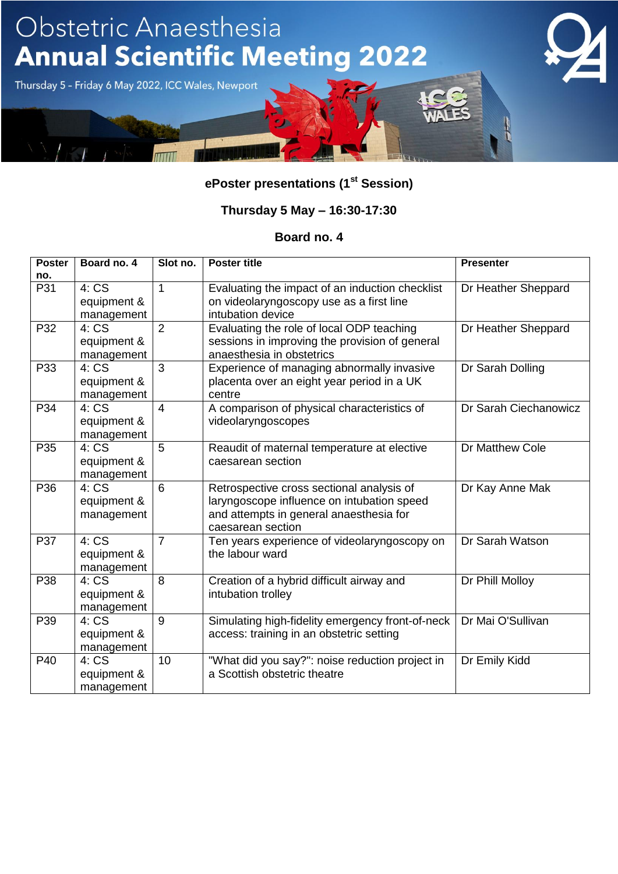

### **Thursday 5 May – 16:30-17:30**

| <b>Poster</b> | Board no. 4 | Slot no.       | <b>Poster title</b>                              | <b>Presenter</b>      |
|---------------|-------------|----------------|--------------------------------------------------|-----------------------|
| no.           |             |                |                                                  |                       |
| P31           | 4:CS        | 1              | Evaluating the impact of an induction checklist  | Dr Heather Sheppard   |
|               | equipment & |                | on videolaryngoscopy use as a first line         |                       |
|               | management  |                | intubation device                                |                       |
| P32           | 4:CS        | 2              | Evaluating the role of local ODP teaching        | Dr Heather Sheppard   |
|               | equipment & |                | sessions in improving the provision of general   |                       |
|               | management  |                | anaesthesia in obstetrics                        |                       |
| P33           | 4:CS        | 3              | Experience of managing abnormally invasive       | Dr Sarah Dolling      |
|               | equipment & |                | placenta over an eight year period in a UK       |                       |
|               | management  |                | centre                                           |                       |
| P34           | 4: CS       | $\overline{4}$ | A comparison of physical characteristics of      | Dr Sarah Ciechanowicz |
|               | equipment & |                | videolaryngoscopes                               |                       |
|               | management  |                |                                                  |                       |
| P35           | 4:CS        | 5              | Reaudit of maternal temperature at elective      | Dr Matthew Cole       |
|               | equipment & |                | caesarean section                                |                       |
|               | management  |                |                                                  |                       |
| P36           | 4:CS        | 6              | Retrospective cross sectional analysis of        | Dr Kay Anne Mak       |
|               | equipment & |                | laryngoscope influence on intubation speed       |                       |
|               | management  |                | and attempts in general anaesthesia for          |                       |
|               |             |                | caesarean section                                |                       |
| P37           | 4:CS        | $\overline{7}$ | Ten years experience of videolaryngoscopy on     | Dr Sarah Watson       |
|               | equipment & |                | the labour ward                                  |                       |
|               | management  |                |                                                  |                       |
| P38           | 4:CS        | 8              | Creation of a hybrid difficult airway and        | Dr Phill Molloy       |
|               | equipment & |                | intubation trolley                               |                       |
|               | management  |                |                                                  |                       |
| P39           | 4:CS        | 9              | Simulating high-fidelity emergency front-of-neck | Dr Mai O'Sullivan     |
|               | equipment & |                | access: training in an obstetric setting         |                       |
|               | management  |                |                                                  |                       |
| P40           | 4:CS        | 10             | "What did you say?": noise reduction project in  | Dr Emily Kidd         |
|               | equipment & |                | a Scottish obstetric theatre                     |                       |
|               | management  |                |                                                  |                       |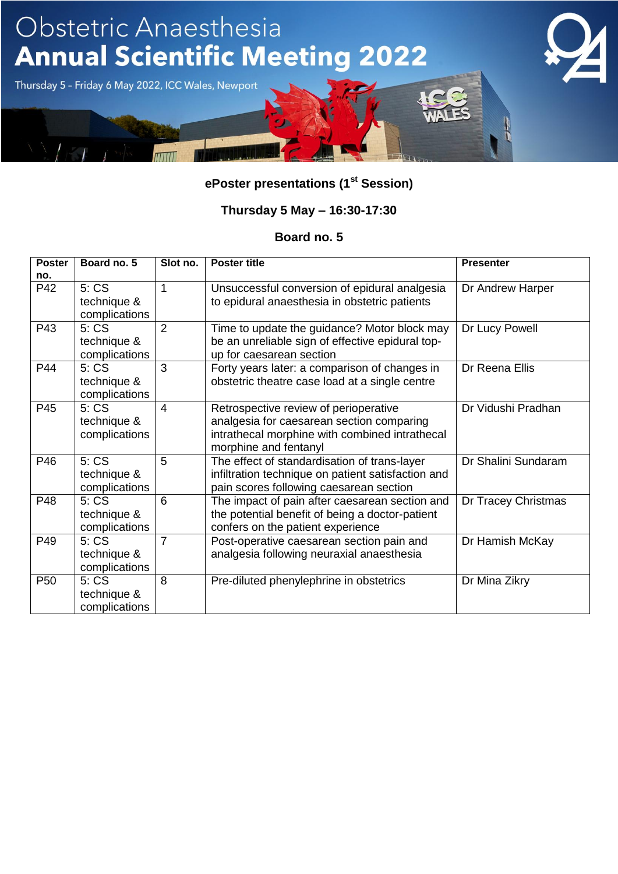

### **Thursday 5 May – 16:30-17:30**

| <b>Poster</b>   | Board no. 5                           | Slot no.       | <b>Poster title</b>                                                                                                                                           | <b>Presenter</b>    |
|-----------------|---------------------------------------|----------------|---------------------------------------------------------------------------------------------------------------------------------------------------------------|---------------------|
| no.             |                                       |                |                                                                                                                                                               |                     |
| P42             | 5: CS<br>technique &<br>complications | 1              | Unsuccessful conversion of epidural analgesia<br>to epidural anaesthesia in obstetric patients                                                                | Dr Andrew Harper    |
| P43             | 5: CS<br>technique &<br>complications | $\overline{2}$ | Time to update the guidance? Motor block may<br>be an unreliable sign of effective epidural top-<br>up for caesarean section                                  | Dr Lucy Powell      |
| P44             | 5:CS<br>technique &<br>complications  | 3              | Forty years later: a comparison of changes in<br>obstetric theatre case load at a single centre                                                               | Dr Reena Ellis      |
| P45             | 5: CS<br>technique &<br>complications | $\overline{4}$ | Retrospective review of perioperative<br>analgesia for caesarean section comparing<br>intrathecal morphine with combined intrathecal<br>morphine and fentanyl | Dr Vidushi Pradhan  |
| P46             | 5: CS<br>technique &<br>complications | 5              | The effect of standardisation of trans-layer<br>infiltration technique on patient satisfaction and<br>pain scores following caesarean section                 | Dr Shalini Sundaram |
| P48             | 5: CS<br>technique &<br>complications | 6              | The impact of pain after caesarean section and<br>the potential benefit of being a doctor-patient<br>confers on the patient experience                        | Dr Tracey Christmas |
| P49             | 5: CS<br>technique &<br>complications | $\overline{7}$ | Post-operative caesarean section pain and<br>analgesia following neuraxial anaesthesia                                                                        | Dr Hamish McKay     |
| P <sub>50</sub> | 5: CS<br>technique &<br>complications | 8              | Pre-diluted phenylephrine in obstetrics                                                                                                                       | Dr Mina Zikry       |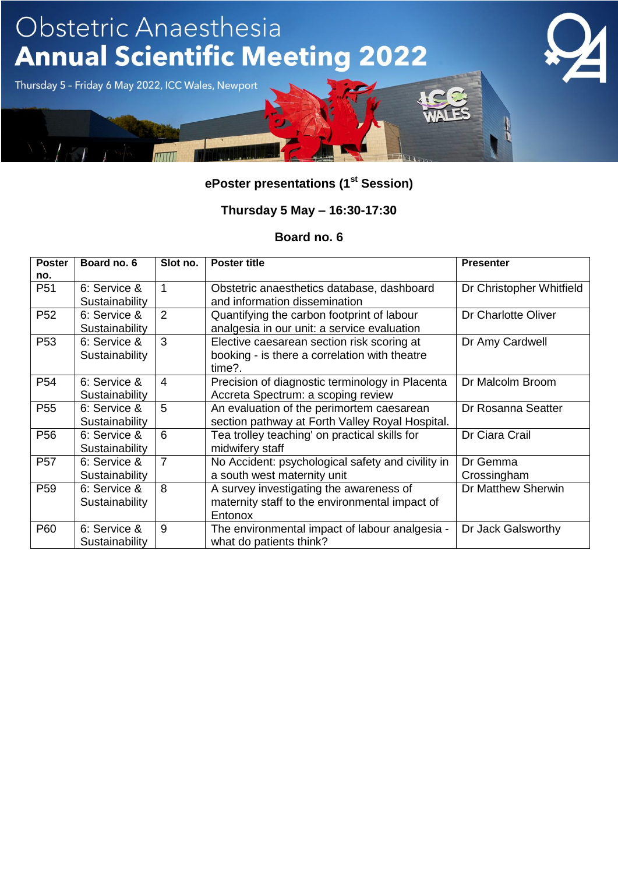

### **Thursday 5 May – 16:30-17:30**

| <b>Poster</b>   | Board no. 6    | Slot no.       | <b>Poster title</b>                               | <b>Presenter</b>         |
|-----------------|----------------|----------------|---------------------------------------------------|--------------------------|
| no.             |                |                |                                                   |                          |
| P <sub>51</sub> | 6: Service &   | 1              | Obstetric anaesthetics database, dashboard        | Dr Christopher Whitfield |
|                 | Sustainability |                | and information dissemination                     |                          |
| P <sub>52</sub> | 6: Service &   | $\overline{2}$ | Quantifying the carbon footprint of labour        | Dr Charlotte Oliver      |
|                 | Sustainability |                | analgesia in our unit: a service evaluation       |                          |
| P <sub>53</sub> | 6: Service &   | 3              | Elective caesarean section risk scoring at        | Dr Amy Cardwell          |
|                 | Sustainability |                | booking - is there a correlation with theatre     |                          |
|                 |                |                | time?.                                            |                          |
| P <sub>54</sub> | 6: Service &   | 4              | Precision of diagnostic terminology in Placenta   | Dr Malcolm Broom         |
|                 | Sustainability |                | Accreta Spectrum: a scoping review                |                          |
| P <sub>55</sub> | 6: Service &   | 5              | An evaluation of the perimortem caesarean         | Dr Rosanna Seatter       |
|                 | Sustainability |                | section pathway at Forth Valley Royal Hospital.   |                          |
| P <sub>56</sub> | 6: Service &   | 6              | Tea trolley teaching' on practical skills for     | Dr Ciara Crail           |
|                 | Sustainability |                | midwifery staff                                   |                          |
| <b>P57</b>      | 6: Service &   | $\overline{7}$ | No Accident: psychological safety and civility in | Dr Gemma                 |
|                 | Sustainability |                | a south west maternity unit                       | Crossingham              |
| P <sub>59</sub> | 6: Service &   | 8              | A survey investigating the awareness of           | Dr Matthew Sherwin       |
|                 | Sustainability |                | maternity staff to the environmental impact of    |                          |
|                 |                |                | Entonox                                           |                          |
| P60             | 6: Service &   | 9              | The environmental impact of labour analgesia -    | Dr Jack Galsworthy       |
|                 | Sustainability |                | what do patients think?                           |                          |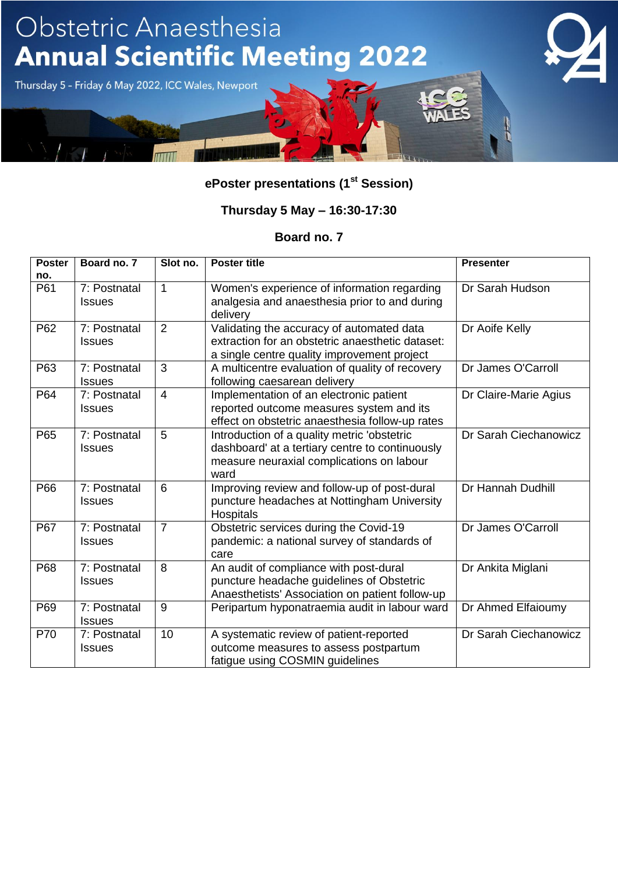

### **Thursday 5 May – 16:30-17:30**

| <b>Poster</b> | Board no. 7                   | Slot no.       | <b>Poster title</b>                                                                                                                                 | <b>Presenter</b>      |
|---------------|-------------------------------|----------------|-----------------------------------------------------------------------------------------------------------------------------------------------------|-----------------------|
| no.           |                               |                |                                                                                                                                                     |                       |
| P61           | 7: Postnatal<br><b>Issues</b> | $\mathbf{1}$   | Women's experience of information regarding<br>analgesia and anaesthesia prior to and during<br>delivery                                            | Dr Sarah Hudson       |
| P62           | 7: Postnatal<br><b>Issues</b> | $\overline{2}$ | Validating the accuracy of automated data<br>extraction for an obstetric anaesthetic dataset:<br>a single centre quality improvement project        | Dr Aoife Kelly        |
| P63           | 7: Postnatal<br><b>Issues</b> | 3              | A multicentre evaluation of quality of recovery<br>following caesarean delivery                                                                     | Dr James O'Carroll    |
| P64           | 7: Postnatal<br><b>Issues</b> | $\overline{4}$ | Implementation of an electronic patient<br>reported outcome measures system and its<br>effect on obstetric anaesthesia follow-up rates              | Dr Claire-Marie Agius |
| P65           | 7: Postnatal<br><b>Issues</b> | 5              | Introduction of a quality metric 'obstetric<br>dashboard' at a tertiary centre to continuously<br>measure neuraxial complications on labour<br>ward | Dr Sarah Ciechanowicz |
| P66           | 7: Postnatal<br><b>Issues</b> | 6              | Improving review and follow-up of post-dural<br>puncture headaches at Nottingham University<br><b>Hospitals</b>                                     | Dr Hannah Dudhill     |
| P67           | 7: Postnatal<br><b>Issues</b> | $\overline{7}$ | Obstetric services during the Covid-19<br>pandemic: a national survey of standards of<br>care                                                       | Dr James O'Carroll    |
| P68           | 7: Postnatal<br><b>Issues</b> | 8              | An audit of compliance with post-dural<br>puncture headache guidelines of Obstetric<br>Anaesthetists' Association on patient follow-up              | Dr Ankita Miglani     |
| P69           | 7: Postnatal<br><b>Issues</b> | 9              | Peripartum hyponatraemia audit in labour ward                                                                                                       | Dr Ahmed Elfaioumy    |
| P70           | 7: Postnatal<br><b>Issues</b> | 10             | A systematic review of patient-reported<br>outcome measures to assess postpartum<br>fatigue using COSMIN guidelines                                 | Dr Sarah Ciechanowicz |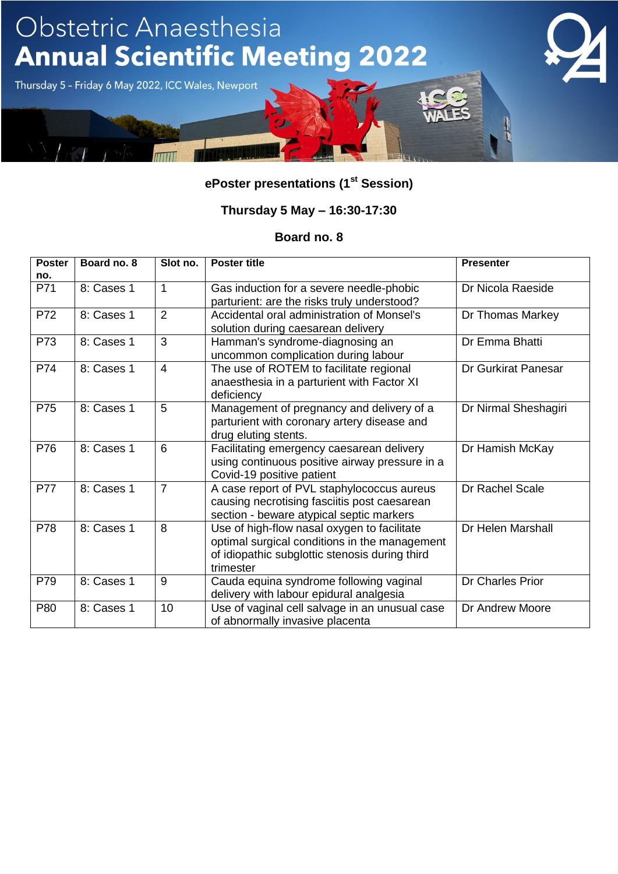

#### **Thursday 5 May – 16:30-17:30**

| <b>Poster</b> | Board no. 8 | Slot no.       | <b>Poster title</b>                            | <b>Presenter</b>           |
|---------------|-------------|----------------|------------------------------------------------|----------------------------|
| no.           |             |                |                                                |                            |
| P71           | 8: Cases 1  | $\mathbf{1}$   | Gas induction for a severe needle-phobic       | Dr Nicola Raeside          |
|               |             |                | parturient: are the risks truly understood?    |                            |
| P72           | 8: Cases 1  | $\overline{2}$ | Accidental oral administration of Monsel's     | Dr Thomas Markey           |
|               |             |                | solution during caesarean delivery             |                            |
| P73           | 8: Cases 1  | 3              | Hamman's syndrome-diagnosing an                | Dr Emma Bhatti             |
|               |             |                | uncommon complication during labour            |                            |
| P74           | 8: Cases 1  | $\overline{4}$ | The use of ROTEM to facilitate regional        | <b>Dr Gurkirat Panesar</b> |
|               |             |                | anaesthesia in a parturient with Factor XI     |                            |
|               |             |                | deficiency                                     |                            |
| P75           | 8: Cases 1  | 5              | Management of pregnancy and delivery of a      | Dr Nirmal Sheshagiri       |
|               |             |                | parturient with coronary artery disease and    |                            |
|               |             |                | drug eluting stents.                           |                            |
| P76           | 8: Cases 1  | 6              | Facilitating emergency caesarean delivery      | Dr Hamish McKay            |
|               |             |                | using continuous positive airway pressure in a |                            |
|               |             |                | Covid-19 positive patient                      |                            |
| <b>P77</b>    | 8: Cases 1  | $\overline{7}$ | A case report of PVL staphylococcus aureus     | Dr Rachel Scale            |
|               |             |                | causing necrotising fasciitis post caesarean   |                            |
|               |             |                | section - beware atypical septic markers       |                            |
| P78           | 8: Cases 1  | 8              | Use of high-flow nasal oxygen to facilitate    | Dr Helen Marshall          |
|               |             |                | optimal surgical conditions in the management  |                            |
|               |             |                | of idiopathic subglottic stenosis during third |                            |
|               |             |                | trimester                                      |                            |
| P79           | 8: Cases 1  | 9              | Cauda equina syndrome following vaginal        | <b>Dr Charles Prior</b>    |
|               |             |                | delivery with labour epidural analgesia        |                            |
| P80           | 8: Cases 1  | 10             | Use of vaginal cell salvage in an unusual case | Dr Andrew Moore            |
|               |             |                | of abnormally invasive placenta                |                            |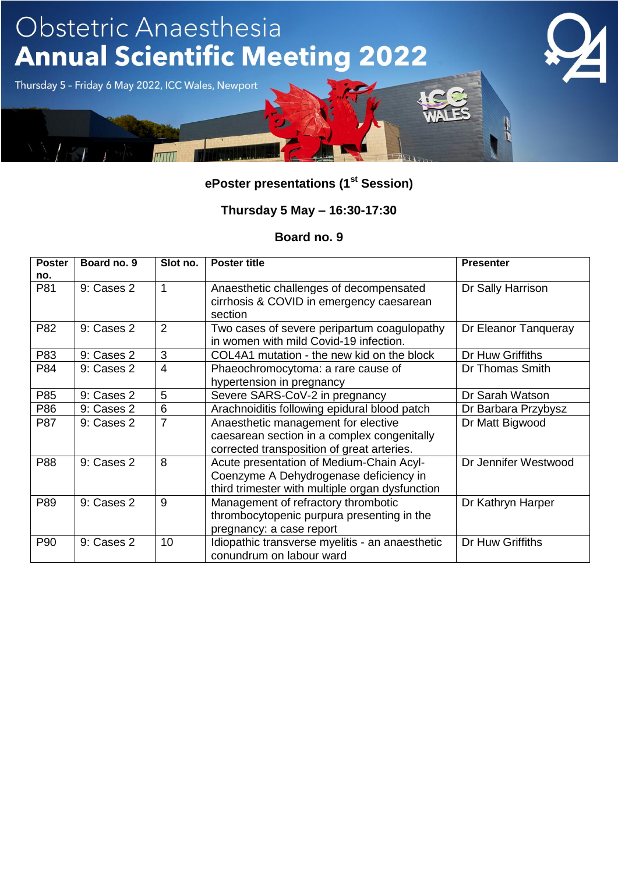

### **Thursday 5 May – 16:30-17:30**

| <b>Poster</b> | Board no. 9 | Slot no.       | <b>Poster title</b>                                                                                                                   | <b>Presenter</b>     |
|---------------|-------------|----------------|---------------------------------------------------------------------------------------------------------------------------------------|----------------------|
| no.           |             |                |                                                                                                                                       |                      |
| P81           | 9: Cases 2  |                | Anaesthetic challenges of decompensated<br>cirrhosis & COVID in emergency caesarean<br>section                                        | Dr Sally Harrison    |
| P82           | 9: Cases 2  | 2              | Two cases of severe peripartum coagulopathy<br>in women with mild Covid-19 infection.                                                 | Dr Eleanor Tanqueray |
| P83           | 9: Cases 2  | 3              | COL4A1 mutation - the new kid on the block                                                                                            | Dr Huw Griffiths     |
| P84           | 9: Cases 2  | $\overline{4}$ | Phaeochromocytoma: a rare cause of<br>hypertension in pregnancy                                                                       | Dr Thomas Smith      |
| P85           | 9: Cases 2  | 5              | Severe SARS-CoV-2 in pregnancy                                                                                                        | Dr Sarah Watson      |
| P86           | 9: Cases 2  | 6              | Arachnoiditis following epidural blood patch                                                                                          | Dr Barbara Przybysz  |
| P87           | 9: Cases 2  | 7              | Anaesthetic management for elective<br>caesarean section in a complex congenitally<br>corrected transposition of great arteries.      | Dr Matt Bigwood      |
| P88           | 9: Cases 2  | 8              | Acute presentation of Medium-Chain Acyl-<br>Coenzyme A Dehydrogenase deficiency in<br>third trimester with multiple organ dysfunction | Dr Jennifer Westwood |
| P89           | 9: Cases 2  | 9              | Management of refractory thrombotic<br>thrombocytopenic purpura presenting in the<br>pregnancy: a case report                         | Dr Kathryn Harper    |
| P90           | 9: Cases 2  | 10             | Idiopathic transverse myelitis - an anaesthetic<br>conundrum on labour ward                                                           | Dr Huw Griffiths     |